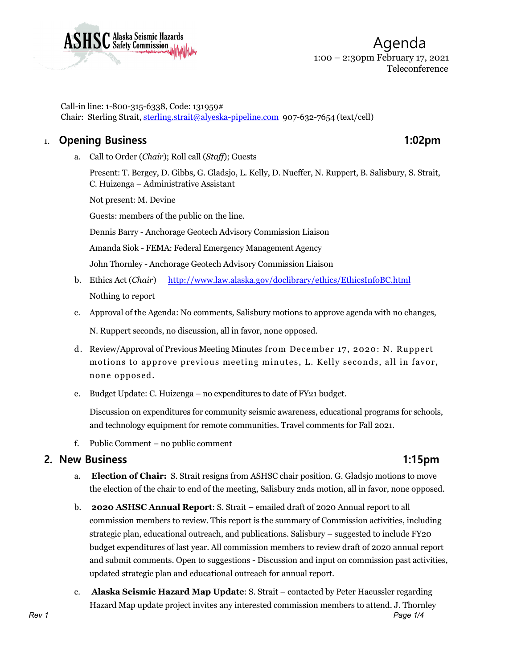

Call-in line: 1-800-315-6338, Code: 131959# Chair: Sterling Strait, [sterling.strait@alyeska-pipeline.com](mailto:sterling.strait@alyeska-pipeline.com) 907-632-7654 (text/cell)

# 1. **Opening Business 1:02pm**

a. Call to Order (*Chair*); Roll call (*Staff*); Guests

Present: T. Bergey, D. Gibbs, G. Gladsjo, L. Kelly, D. Nueffer, N. Ruppert, B. Salisbury, S. Strait, C. Huizenga – Administrative Assistant

Not present: M. Devine

Guests: members of the public on the line.

Dennis Barry - Anchorage Geotech Advisory Commission Liaison

Amanda Siok - FEMA: Federal Emergency Management Agency

John Thornley - Anchorage Geotech Advisory Commission Liaison

- b. Ethics Act (*Chair*) <http://www.law.alaska.gov/doclibrary/ethics/EthicsInfoBC.html> Nothing to report
- c. Approval of the Agenda: No comments, Salisbury motions to approve agenda with no changes,

N. Ruppert seconds, no discussion, all in favor, none opposed.

- d. Review/Approval of Previous Meeting Minutes from December 17, 2020: N. Ruppert motions to approve previous meeting minutes, L. Kelly seconds, all in favor, none opposed.
- e. Budget Update: C. Huizenga no expenditures to date of FY21 budget.

Discussion on expenditures for community seismic awareness, educational programs for schools, and technology equipment for remote communities. Travel comments for Fall 2021.

f. Public Comment – no public comment

### **2. New Business 1:15pm**

- a. **Election of Chair:** S. Strait resigns from ASHSC chair position. G. Gladsjo motions to move the election of the chair to end of the meeting, Salisbury 2nds motion, all in favor, none opposed.
- b. **2020 ASHSC Annual Report**: S. Strait emailed draft of 2020 Annual report to all commission members to review. This report is the summary of Commission activities, including strategic plan, educational outreach, and publications. Salisbury – suggested to include FY20 budget expenditures of last year. All commission members to review draft of 2020 annual report and submit comments. Open to suggestions - Discussion and input on commission past activities, updated strategic plan and educational outreach for annual report.
- *Rev 1 Page 1/4* c. **Alaska Seismic Hazard Map Update**: S. Strait – contacted by Peter Haeussler regarding Hazard Map update project invites any interested commission members to attend. J. Thornley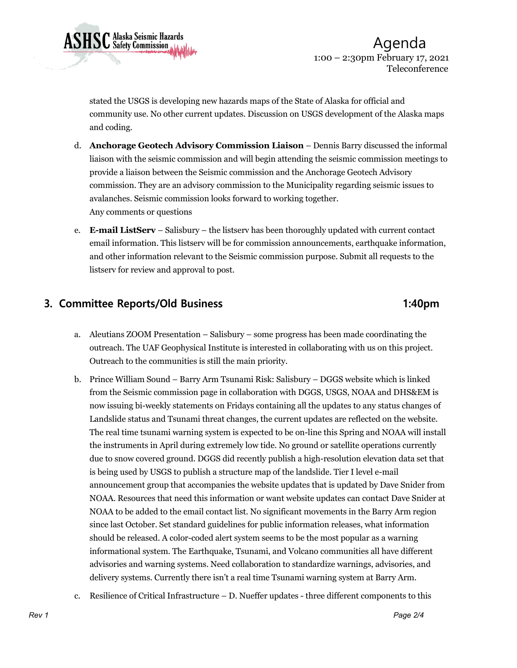

 Agenda 1:00 – 2:30pm February 17, 2021 Teleconference

stated the USGS is developing new hazards maps of the State of Alaska for official and community use. No other current updates. Discussion on USGS development of the Alaska maps and coding.

- d. **Anchorage Geotech Advisory Commission Liaison** Dennis Barry discussed the informal liaison with the seismic commission and will begin attending the seismic commission meetings to provide a liaison between the Seismic commission and the Anchorage Geotech Advisory commission. They are an advisory commission to the Municipality regarding seismic issues to avalanches. Seismic commission looks forward to working together. Any comments or questions
- e. **E-mail ListServ** Salisbury the listserv has been thoroughly updated with current contact email information. This listserv will be for commission announcements, earthquake information, and other information relevant to the Seismic commission purpose. Submit all requests to the listserv for review and approval to post.

# **3. Committee Reports/Old Business 1:40pm**

- a. Aleutians ZOOM Presentation Salisbury some progress has been made coordinating the outreach. The UAF Geophysical Institute is interested in collaborating with us on this project. Outreach to the communities is still the main priority.
- b. Prince William Sound Barry Arm Tsunami Risk: Salisbury DGGS website which is linked from the Seismic commission page in collaboration with DGGS, USGS, NOAA and DHS&EM is now issuing bi-weekly statements on Fridays containing all the updates to any status changes of Landslide status and Tsunami threat changes, the current updates are reflected on the website. The real time tsunami warning system is expected to be on-line this Spring and NOAA will install the instruments in April during extremely low tide. No ground or satellite operations currently due to snow covered ground. DGGS did recently publish a high-resolution elevation data set that is being used by USGS to publish a structure map of the landslide. Tier I level e-mail announcement group that accompanies the website updates that is updated by Dave Snider from NOAA. Resources that need this information or want website updates can contact Dave Snider at NOAA to be added to the email contact list. No significant movements in the Barry Arm region since last October. Set standard guidelines for public information releases, what information should be released. A color-coded alert system seems to be the most popular as a warning informational system. The Earthquake, Tsunami, and Volcano communities all have different advisories and warning systems. Need collaboration to standardize warnings, advisories, and delivery systems. Currently there isn't a real time Tsunami warning system at Barry Arm.
- c. Resilience of Critical Infrastructure D. Nueffer updates three different components to this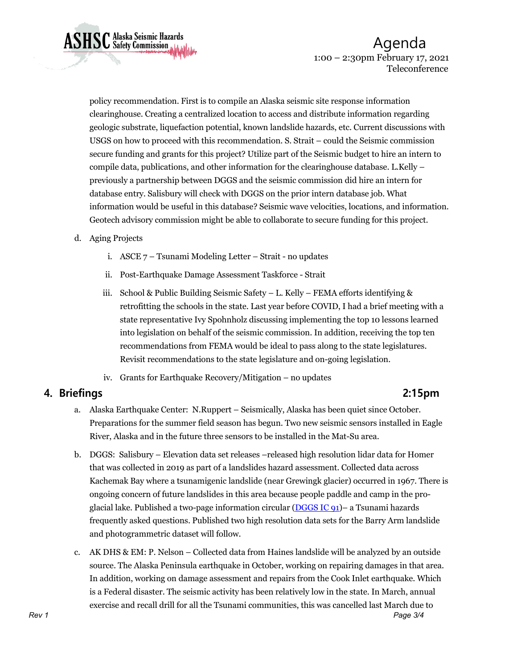Agenda 1:00 – 2:30pm February 17, 2021 Teleconference

policy recommendation. First is to compile an Alaska seismic site response information clearinghouse. Creating a centralized location to access and distribute information regarding geologic substrate, liquefaction potential, known landslide hazards, etc. Current discussions with USGS on how to proceed with this recommendation. S. Strait – could the Seismic commission secure funding and grants for this project? Utilize part of the Seismic budget to hire an intern to compile data, publications, and other information for the clearinghouse database. L.Kelly – previously a partnership between DGGS and the seismic commission did hire an intern for database entry. Salisbury will check with DGGS on the prior intern database job. What information would be useful in this database? Seismic wave velocities, locations, and information. Geotech advisory commission might be able to collaborate to secure funding for this project.

### d. Aging Projects

**ASHSC** Alaska Seismic Hazards

- i. ASCE 7 Tsunami Modeling Letter Strait no updates
- ii. Post-Earthquake Damage Assessment Taskforce Strait
- iii. School & Public Building Seismic Safety L. Kelly FEMA efforts identifying & retrofitting the schools in the state. Last year before COVID, I had a brief meeting with a state representative Ivy Spohnholz discussing implementing the top 10 lessons learned into legislation on behalf of the seismic commission. In addition, receiving the top ten recommendations from FEMA would be ideal to pass along to the state legislatures. Revisit recommendations to the state legislature and on-going legislation.
- iv. Grants for Earthquake Recovery/Mitigation no updates

# **4. Briefings 2:15pm**

- a. Alaska Earthquake Center: N.Ruppert Seismically, Alaska has been quiet since October. Preparations for the summer field season has begun. Two new seismic sensors installed in Eagle River, Alaska and in the future three sensors to be installed in the Mat-Su area.
- b. DGGS: Salisbury Elevation data set releases –released high resolution lidar data for Homer that was collected in 2019 as part of a landslides hazard assessment. Collected data across Kachemak Bay where a tsunamigenic landslide (near Grewingk glacier) occurred in 1967. There is ongoing concern of future landslides in this area because people paddle and camp in the proglacial lake. Published a two-page information circular (DGGS IC  $91$ )– a Tsunami hazards frequently asked questions. Published two high resolution data sets for the Barry Arm landslide and photogrammetric dataset will follow.
- *Rev 1 Page 3/4* c. AK DHS & EM: P. Nelson – Collected data from Haines landslide will be analyzed by an outside source. The Alaska Peninsula earthquake in October, working on repairing damages in that area. In addition, working on damage assessment and repairs from the Cook Inlet earthquake. Which is a Federal disaster. The seismic activity has been relatively low in the state. In March, annual exercise and recall drill for all the Tsunami communities, this was cancelled last March due to